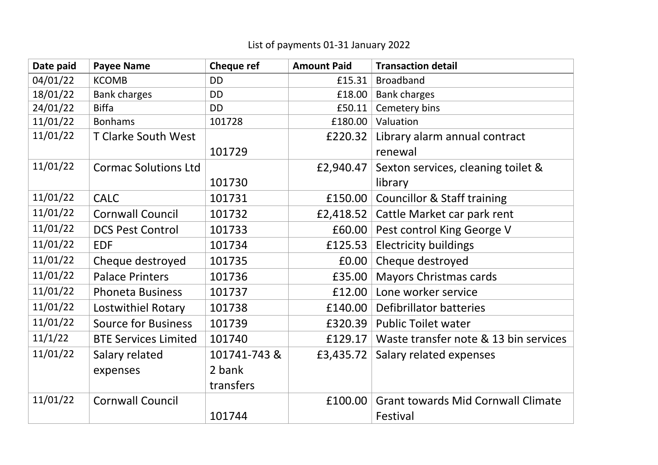| Date paid | <b>Payee Name</b>           | <b>Cheque ref</b> | <b>Amount Paid</b> | <b>Transaction detail</b>                 |
|-----------|-----------------------------|-------------------|--------------------|-------------------------------------------|
| 04/01/22  | <b>KCOMB</b>                | <b>DD</b>         | £15.31             | <b>Broadband</b>                          |
| 18/01/22  | <b>Bank charges</b>         | <b>DD</b>         | £18.00             | <b>Bank charges</b>                       |
| 24/01/22  | <b>Biffa</b>                | <b>DD</b>         | £50.11             | Cemetery bins                             |
| 11/01/22  | <b>Bonhams</b>              | 101728            | £180.00            | Valuation                                 |
| 11/01/22  | T Clarke South West         |                   | £220.32            | Library alarm annual contract             |
|           |                             | 101729            |                    | renewal                                   |
| 11/01/22  | <b>Cormac Solutions Ltd</b> |                   | £2,940.47          | Sexton services, cleaning toilet &        |
|           |                             | 101730            |                    | library                                   |
| 11/01/22  | <b>CALC</b>                 | 101731            | £150.00            | <b>Councillor &amp; Staff training</b>    |
| 11/01/22  | <b>Cornwall Council</b>     | 101732            | £2,418.52          | Cattle Market car park rent               |
| 11/01/22  | <b>DCS Pest Control</b>     | 101733            | £60.00             | Pest control King George V                |
| 11/01/22  | <b>EDF</b>                  | 101734            | £125.53            | <b>Electricity buildings</b>              |
| 11/01/22  | Cheque destroyed            | 101735            | £0.00              | Cheque destroyed                          |
| 11/01/22  | <b>Palace Printers</b>      | 101736            | £35.00             | <b>Mayors Christmas cards</b>             |
| 11/01/22  | <b>Phoneta Business</b>     | 101737            | £12.00             | Lone worker service                       |
| 11/01/22  | Lostwithiel Rotary          | 101738            | £140.00            | <b>Defibrillator batteries</b>            |
| 11/01/22  | <b>Source for Business</b>  | 101739            | £320.39            | <b>Public Toilet water</b>                |
| 11/1/22   | <b>BTE Services Limited</b> | 101740            | £129.17            | Waste transfer note & 13 bin services     |
| 11/01/22  | Salary related              | 101741-743 &      | £3,435.72          | Salary related expenses                   |
|           | expenses                    | 2 bank            |                    |                                           |
|           |                             | transfers         |                    |                                           |
| 11/01/22  | <b>Cornwall Council</b>     |                   | £100.00            | <b>Grant towards Mid Cornwall Climate</b> |
|           |                             | 101744            |                    | Festival                                  |

## List of payments 01-31 January 2022